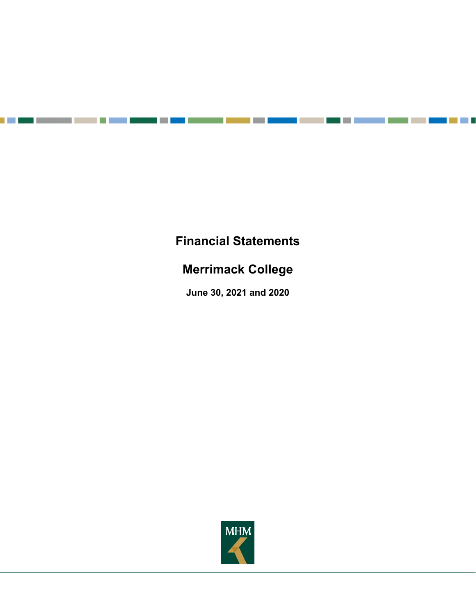# **Financial Statements**

n

<u> 1989 - Jan Barnett, fransk politik (</u>

man i

a pro

a a shekara

T.

# **Merrimack College**

**June 30, 2021 and 2020** 

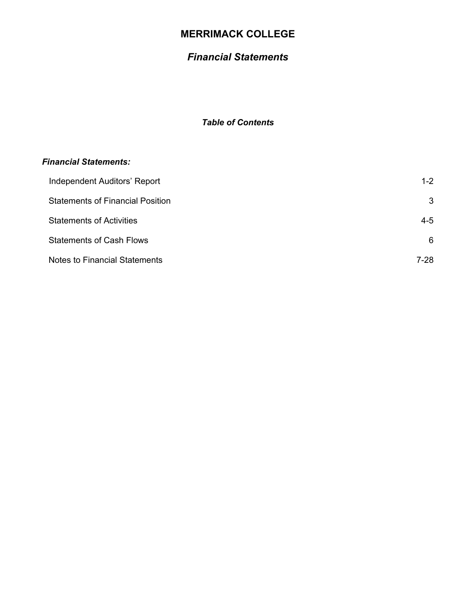# *Financial Statements*

# *Table of Contents*

### *Financial Statements:*

| Independent Auditors' Report            | $1 - 2$ |
|-----------------------------------------|---------|
| <b>Statements of Financial Position</b> | 3       |
| <b>Statements of Activities</b>         | $4 - 5$ |
| <b>Statements of Cash Flows</b>         | 6       |
| <b>Notes to Financial Statements</b>    | 7-28    |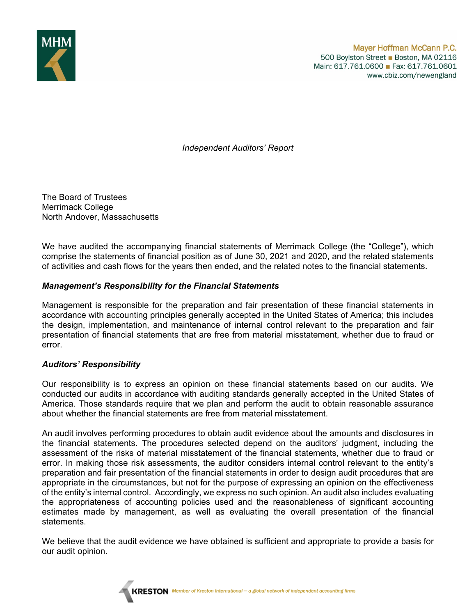

*Independent Auditors' Report* 

The Board of Trustees Merrimack College North Andover, Massachusetts

We have audited the accompanying financial statements of Merrimack College (the "College"), which comprise the statements of financial position as of June 30, 2021 and 2020, and the related statements of activities and cash flows for the years then ended, and the related notes to the financial statements.

### *Management's Responsibility for the Financial Statements*

Management is responsible for the preparation and fair presentation of these financial statements in accordance with accounting principles generally accepted in the United States of America; this includes the design, implementation, and maintenance of internal control relevant to the preparation and fair presentation of financial statements that are free from material misstatement, whether due to fraud or error.

### *Auditors' Responsibility*

Our responsibility is to express an opinion on these financial statements based on our audits. We conducted our audits in accordance with auditing standards generally accepted in the United States of America. Those standards require that we plan and perform the audit to obtain reasonable assurance about whether the financial statements are free from material misstatement.

An audit involves performing procedures to obtain audit evidence about the amounts and disclosures in the financial statements. The procedures selected depend on the auditors' judgment, including the assessment of the risks of material misstatement of the financial statements, whether due to fraud or error. In making those risk assessments, the auditor considers internal control relevant to the entity's preparation and fair presentation of the financial statements in order to design audit procedures that are appropriate in the circumstances, but not for the purpose of expressing an opinion on the effectiveness of the entity's internal control. Accordingly, we express no such opinion. An audit also includes evaluating the appropriateness of accounting policies used and the reasonableness of significant accounting estimates made by management, as well as evaluating the overall presentation of the financial statements.

We believe that the audit evidence we have obtained is sufficient and appropriate to provide a basis for our audit opinion.

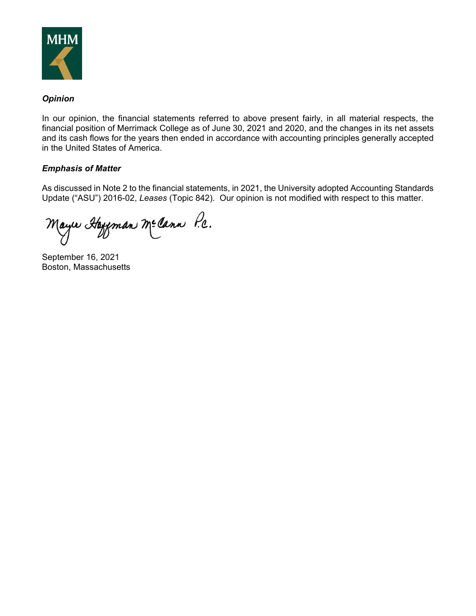

### *Opinion*

In our opinion, the financial statements referred to above present fairly, in all material respects, the financial position of Merrimack College as of June 30, 2021 and 2020, and the changes in its net assets and its cash flows for the years then ended in accordance with accounting principles generally accepted in the United States of America.

### *Emphasis of Matter*

As discussed in Note 2 to the financial statements, in 2021, the University adopted Accounting Standards Update ("ASU") 2016-02, *Leases* (Topic 842). Our opinion is not modified with respect to this matter.

Mayır Hayeman Mecann P.c.

September 16, 2021 Boston, Massachusetts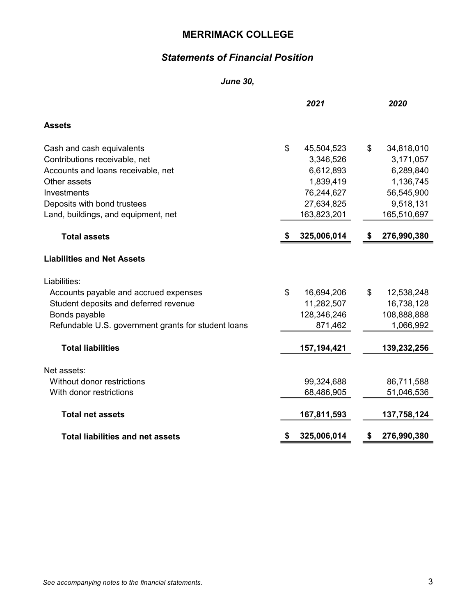# Statements of Financial Position

#### June 30,

|                                                     | 2021              | 2020              |
|-----------------------------------------------------|-------------------|-------------------|
| <b>Assets</b>                                       |                   |                   |
| Cash and cash equivalents                           | \$<br>45,504,523  | \$<br>34,818,010  |
| Contributions receivable, net                       | 3,346,526         | 3,171,057         |
| Accounts and loans receivable, net                  | 6,612,893         | 6,289,840         |
| Other assets                                        | 1,839,419         | 1,136,745         |
| Investments                                         | 76,244,627        | 56,545,900        |
| Deposits with bond trustees                         | 27,634,825        | 9,518,131         |
| Land, buildings, and equipment, net                 | 163,823,201       | 165,510,697       |
| <b>Total assets</b>                                 | \$<br>325,006,014 | \$<br>276,990,380 |
| <b>Liabilities and Net Assets</b>                   |                   |                   |
| Liabilities:                                        |                   |                   |
| Accounts payable and accrued expenses               | \$<br>16,694,206  | \$<br>12,538,248  |
| Student deposits and deferred revenue               | 11,282,507        | 16,738,128        |
| Bonds payable                                       | 128,346,246       | 108,888,888       |
| Refundable U.S. government grants for student loans | 871,462           | 1,066,992         |
| <b>Total liabilities</b>                            | 157, 194, 421     | 139,232,256       |
| Net assets:                                         |                   |                   |
| Without donor restrictions                          | 99,324,688        | 86,711,588        |
| With donor restrictions                             | 68,486,905        | 51,046,536        |
| <b>Total net assets</b>                             | 167,811,593       | 137,758,124       |
| <b>Total liabilities and net assets</b>             | \$<br>325,006,014 | \$<br>276,990,380 |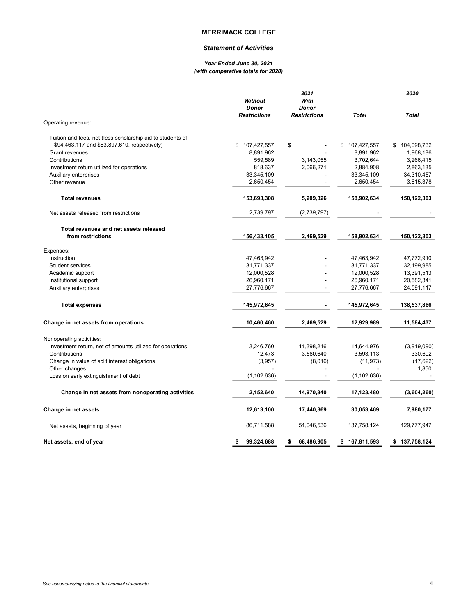#### Statement of Activities

#### Year Ended June 30, 2021 (with comparative totals for 2020)

|                                                            | <b>Without</b><br><b>Donor</b> | 2021<br>With<br>Donor |               | 2020              |
|------------------------------------------------------------|--------------------------------|-----------------------|---------------|-------------------|
| Operating revenue:                                         | <b>Restrictions</b>            | <b>Restrictions</b>   | <b>Total</b>  | <b>Total</b>      |
|                                                            |                                |                       |               |                   |
| Tuition and fees, net (less scholarship aid to students of |                                |                       |               |                   |
| \$94,463,117 and \$83,897,610, respectively)               | \$107,427,557                  | \$                    | \$107,427,557 | \$104,098,732     |
| Grant revenues                                             | 8,891,962                      |                       | 8,891,962     | 1,968,186         |
| Contributions                                              | 559,589                        | 3,143,055             | 3,702,644     | 3,266,415         |
| Investment return utilized for operations                  | 818,637                        | 2,066,271             | 2,884,908     | 2,863,135         |
| Auxiliary enterprises                                      | 33,345,109                     |                       | 33,345,109    | 34,310,457        |
| Other revenue                                              | 2,650,454                      |                       | 2,650,454     | 3,615,378         |
| <b>Total revenues</b>                                      | 153,693,308                    | 5,209,326             | 158,902,634   | 150,122,303       |
| Net assets released from restrictions                      | 2,739,797                      | (2,739,797)           |               |                   |
| Total revenues and net assets released                     |                                |                       |               |                   |
| from restrictions                                          | 156,433,105                    | 2,469,529             | 158,902,634   | 150,122,303       |
| Expenses:                                                  |                                |                       |               |                   |
| Instruction                                                | 47,463,942                     |                       | 47,463,942    | 47,772,910        |
| <b>Student services</b>                                    | 31,771,337                     |                       | 31,771,337    | 32,199,985        |
| Academic support                                           | 12,000,528                     |                       | 12,000,528    | 13,391,513        |
| Institutional support                                      | 26,960,171                     |                       | 26,960,171    | 20,582,341        |
| Auxiliary enterprises                                      | 27,776,667                     |                       | 27,776,667    | 24,591,117        |
| <b>Total expenses</b>                                      | 145,972,645                    |                       | 145,972,645   | 138,537,866       |
| Change in net assets from operations                       | 10,460,460                     | 2,469,529             | 12,929,989    | 11,584,437        |
| Nonoperating activities:                                   |                                |                       |               |                   |
| Investment return, net of amounts utilized for operations  | 3,246,760                      | 11,398,216            | 14,644,976    | (3,919,090)       |
| Contributions                                              | 12,473                         | 3,580,640             | 3,593,113     | 330,602           |
| Change in value of split interest obligations              | (3,957)                        | (8,016)               | (11, 973)     | (17, 622)         |
| Other changes                                              |                                |                       |               | 1,850             |
| Loss on early extinguishment of debt                       | (1, 102, 636)                  |                       | (1, 102, 636) |                   |
| Change in net assets from nonoperating activities          | 2,152,640                      | 14,970,840            | 17,123,480    | (3,604,260)       |
|                                                            |                                |                       |               |                   |
| Change in net assets                                       | 12,613,100                     | 17,440,369            | 30,053,469    | 7,980,177         |
| Net assets, beginning of year                              | 86,711,588                     | 51,046,536            | 137,758,124   | 129,777,947       |
| Net assets, end of year                                    | 99,324,688<br>\$               | 68,486,905<br>\$      | \$167,811,593 | \$<br>137,758,124 |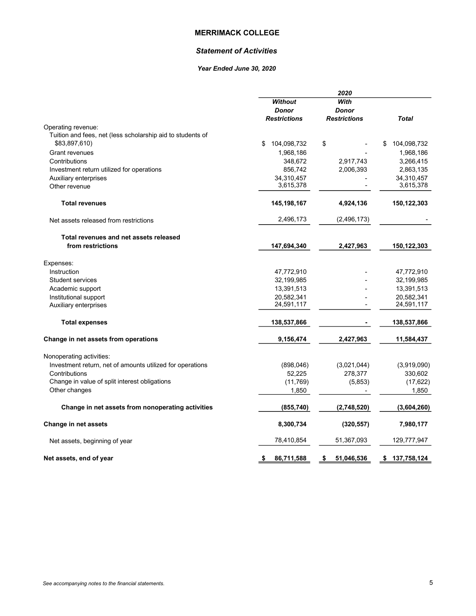#### Statement of Activities

#### Year Ended June 30, 2020

|                                                            |                     | 2020                |                   |
|------------------------------------------------------------|---------------------|---------------------|-------------------|
|                                                            | <b>Without</b>      | With                |                   |
|                                                            | <b>Donor</b>        | Donor               |                   |
|                                                            | <b>Restrictions</b> | <b>Restrictions</b> | <b>Total</b>      |
| Operating revenue:                                         |                     |                     |                   |
| Tuition and fees, net (less scholarship aid to students of |                     |                     |                   |
| \$83,897,610)                                              | \$<br>104,098,732   | \$                  | \$<br>104,098,732 |
| <b>Grant revenues</b>                                      | 1,968,186           |                     | 1,968,186         |
| Contributions                                              | 348,672             | 2,917,743           | 3,266,415         |
| Investment return utilized for operations                  | 856,742             | 2,006,393           | 2,863,135         |
| Auxiliary enterprises                                      | 34,310,457          |                     | 34,310,457        |
| Other revenue                                              | 3,615,378           |                     | 3,615,378         |
|                                                            |                     |                     |                   |
| <b>Total revenues</b>                                      | 145,198,167         | 4,924,136           | 150,122,303       |
| Net assets released from restrictions                      | 2,496,173           | (2, 496, 173)       |                   |
|                                                            |                     |                     |                   |
| Total revenues and net assets released                     |                     |                     |                   |
| from restrictions                                          | 147,694,340         | 2,427,963           | 150,122,303       |
| Expenses:                                                  |                     |                     |                   |
| Instruction                                                | 47,772,910          |                     | 47,772,910        |
| <b>Student services</b>                                    | 32,199,985          |                     | 32,199,985        |
| Academic support                                           | 13,391,513          |                     | 13,391,513        |
| Institutional support                                      | 20,582,341          |                     | 20,582,341        |
| Auxiliary enterprises                                      | 24,591,117          |                     | 24,591,117        |
|                                                            |                     |                     |                   |
| <b>Total expenses</b>                                      | 138,537,866         |                     | 138,537,866       |
| Change in net assets from operations                       | 9,156,474           | 2,427,963           | 11,584,437        |
| Nonoperating activities:                                   |                     |                     |                   |
| Investment return, net of amounts utilized for operations  | (898, 046)          | (3,021,044)         | (3,919,090)       |
| Contributions                                              | 52,225              | 278,377             | 330,602           |
| Change in value of split interest obligations              | (11,769)            | (5,853)             | (17, 622)         |
| Other changes                                              | 1,850               |                     | 1,850             |
|                                                            |                     |                     |                   |
| Change in net assets from nonoperating activities          | (855, 740)          | (2,748,520)         | (3,604,260)       |
| Change in net assets                                       | 8,300,734           | (320, 557)          | 7,980,177         |
| Net assets, beginning of year                              | 78,410,854          | 51,367,093          | 129,777,947       |
| Net assets, end of year                                    | \$<br>86,711,588    | 51,046,536<br>S     | 137,758,124<br>\$ |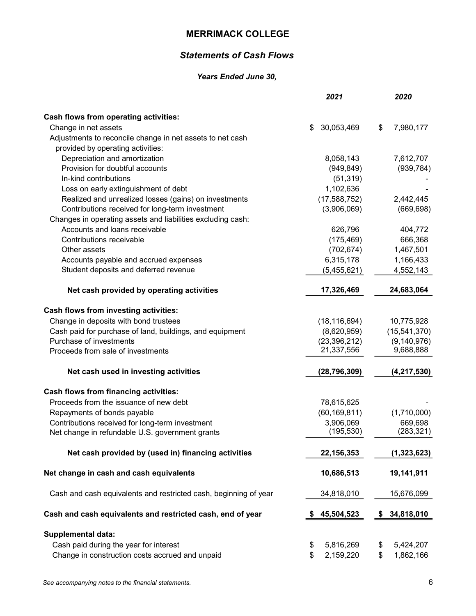### Statements of Cash Flows

#### Years Ended June 30,

|                                                                  | 2021             | 2020              |
|------------------------------------------------------------------|------------------|-------------------|
| <b>Cash flows from operating activities:</b>                     |                  |                   |
| Change in net assets                                             | 30,053,469<br>\$ | 7,980,177<br>\$   |
| Adjustments to reconcile change in net assets to net cash        |                  |                   |
| provided by operating activities:                                |                  |                   |
| Depreciation and amortization                                    | 8,058,143        | 7,612,707         |
| Provision for doubtful accounts                                  | (949, 849)       | (939, 784)        |
| In-kind contributions                                            | (51, 319)        |                   |
| Loss on early extinguishment of debt                             | 1,102,636        |                   |
| Realized and unrealized losses (gains) on investments            | (17,588,752)     | 2,442,445         |
| Contributions received for long-term investment                  | (3,906,069)      | (669, 698)        |
| Changes in operating assets and liabilities excluding cash:      |                  |                   |
| Accounts and loans receivable                                    | 626,796          | 404,772           |
| Contributions receivable                                         | (175, 469)       | 666,368           |
| Other assets                                                     | (702, 674)       | 1,467,501         |
| Accounts payable and accrued expenses                            | 6,315,178        | 1,166,433         |
| Student deposits and deferred revenue                            | (5,455,621)      | 4,552,143         |
| Net cash provided by operating activities                        | 17,326,469       | 24,683,064        |
| Cash flows from investing activities:                            |                  |                   |
| Change in deposits with bond trustees                            | (18, 116, 694)   | 10,775,928        |
| Cash paid for purchase of land, buildings, and equipment         | (8,620,959)      | (15, 541, 370)    |
| Purchase of investments                                          | (23, 396, 212)   | (9, 140, 976)     |
| Proceeds from sale of investments                                | 21,337,556       | 9,688,888         |
| Net cash used in investing activities                            | (28, 796, 309)   | (4, 217, 530)     |
| Cash flows from financing activities:                            |                  |                   |
| Proceeds from the issuance of new debt                           | 78,615,625       |                   |
| Repayments of bonds payable                                      | (60, 169, 811)   | (1,710,000)       |
| Contributions received for long-term investment                  | 3,906,069        | 669,698           |
| Net change in refundable U.S. government grants                  | (195, 530)       | (283, 321)        |
| Net cash provided by (used in) financing activities              | 22, 156, 353     | (1,323,623)       |
| Net change in cash and cash equivalents                          | 10,686,513       | 19,141,911        |
| Cash and cash equivalents and restricted cash, beginning of year | 34,818,010       | 15,676,099        |
| Cash and cash equivalents and restricted cash, end of year       | 45,504,523       | 34,818,010<br>\$. |
|                                                                  |                  |                   |
| <b>Supplemental data:</b>                                        |                  |                   |
| Cash paid during the year for interest                           | 5,816,269<br>\$  | \$<br>5,424,207   |
| Change in construction costs accrued and unpaid                  | \$<br>2,159,220  | \$<br>1,862,166   |
|                                                                  |                  |                   |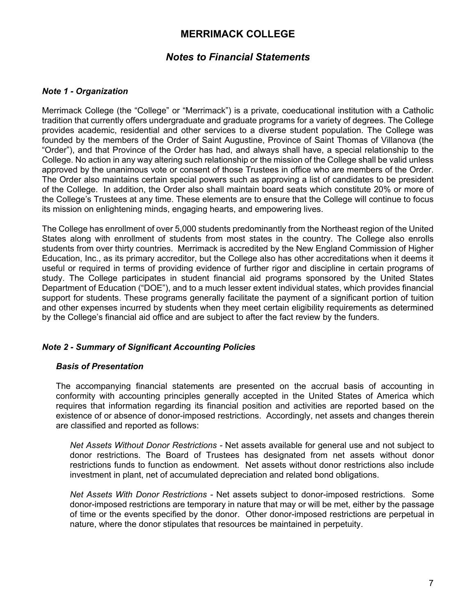### *Notes to Financial Statements*

### *Note 1 - Organization*

Merrimack College (the "College" or "Merrimack") is a private, coeducational institution with a Catholic tradition that currently offers undergraduate and graduate programs for a variety of degrees. The College provides academic, residential and other services to a diverse student population. The College was founded by the members of the Order of Saint Augustine, Province of Saint Thomas of Villanova (the "Order"), and that Province of the Order has had, and always shall have, a special relationship to the College. No action in any way altering such relationship or the mission of the College shall be valid unless approved by the unanimous vote or consent of those Trustees in office who are members of the Order. The Order also maintains certain special powers such as approving a list of candidates to be president of the College. In addition, the Order also shall maintain board seats which constitute 20% or more of the College's Trustees at any time. These elements are to ensure that the College will continue to focus its mission on enlightening minds, engaging hearts, and empowering lives.

The College has enrollment of over 5,000 students predominantly from the Northeast region of the United States along with enrollment of students from most states in the country. The College also enrolls students from over thirty countries. Merrimack is accredited by the New England Commission of Higher Education, Inc., as its primary accreditor, but the College also has other accreditations when it deems it useful or required in terms of providing evidence of further rigor and discipline in certain programs of study. The College participates in student financial aid programs sponsored by the United States Department of Education ("DOE"), and to a much lesser extent individual states, which provides financial support for students. These programs generally facilitate the payment of a significant portion of tuition and other expenses incurred by students when they meet certain eligibility requirements as determined by the College's financial aid office and are subject to after the fact review by the funders.

### *Note 2 - Summary of Significant Accounting Policies*

### *Basis of Presentation*

The accompanying financial statements are presented on the accrual basis of accounting in conformity with accounting principles generally accepted in the United States of America which requires that information regarding its financial position and activities are reported based on the existence of or absence of donor-imposed restrictions. Accordingly, net assets and changes therein are classified and reported as follows:

*Net Assets Without Donor Restrictions -* Net assets available for general use and not subject to donor restrictions. The Board of Trustees has designated from net assets without donor restrictions funds to function as endowment. Net assets without donor restrictions also include investment in plant, net of accumulated depreciation and related bond obligations.

*Net Assets With Donor Restrictions -* Net assets subject to donor-imposed restrictions. Some donor-imposed restrictions are temporary in nature that may or will be met, either by the passage of time or the events specified by the donor. Other donor-imposed restrictions are perpetual in nature, where the donor stipulates that resources be maintained in perpetuity.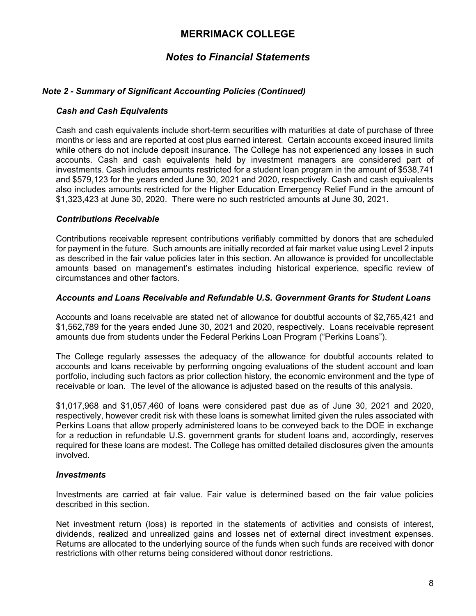# *Notes to Financial Statements*

### *Note 2 - Summary of Significant Accounting Policies (Continued)*

#### *Cash and Cash Equivalents*

Cash and cash equivalents include short-term securities with maturities at date of purchase of three months or less and are reported at cost plus earned interest. Certain accounts exceed insured limits while others do not include deposit insurance. The College has not experienced any losses in such accounts. Cash and cash equivalents held by investment managers are considered part of investments. Cash includes amounts restricted for a student loan program in the amount of \$538,741 and \$579,123 for the years ended June 30, 2021 and 2020, respectively. Cash and cash equivalents also includes amounts restricted for the Higher Education Emergency Relief Fund in the amount of \$1,323,423 at June 30, 2020. There were no such restricted amounts at June 30, 2021.

#### *Contributions Receivable*

Contributions receivable represent contributions verifiably committed by donors that are scheduled for payment in the future. Such amounts are initially recorded at fair market value using Level 2 inputs as described in the fair value policies later in this section. An allowance is provided for uncollectable amounts based on management's estimates including historical experience, specific review of circumstances and other factors.

#### *Accounts and Loans Receivable and Refundable U.S. Government Grants for Student Loans*

Accounts and loans receivable are stated net of allowance for doubtful accounts of \$2,765,421 and \$1,562,789 for the years ended June 30, 2021 and 2020, respectively. Loans receivable represent amounts due from students under the Federal Perkins Loan Program ("Perkins Loans").

The College regularly assesses the adequacy of the allowance for doubtful accounts related to accounts and loans receivable by performing ongoing evaluations of the student account and loan portfolio, including such factors as prior collection history, the economic environment and the type of receivable or loan. The level of the allowance is adjusted based on the results of this analysis.

\$1,017,968 and \$1,057,460 of loans were considered past due as of June 30, 2021 and 2020, respectively, however credit risk with these loans is somewhat limited given the rules associated with Perkins Loans that allow properly administered loans to be conveyed back to the DOE in exchange for a reduction in refundable U.S. government grants for student loans and, accordingly, reserves required for these loans are modest. The College has omitted detailed disclosures given the amounts involved.

#### *Investments*

Investments are carried at fair value. Fair value is determined based on the fair value policies described in this section.

Net investment return (loss) is reported in the statements of activities and consists of interest, dividends, realized and unrealized gains and losses net of external direct investment expenses. Returns are allocated to the underlying source of the funds when such funds are received with donor restrictions with other returns being considered without donor restrictions.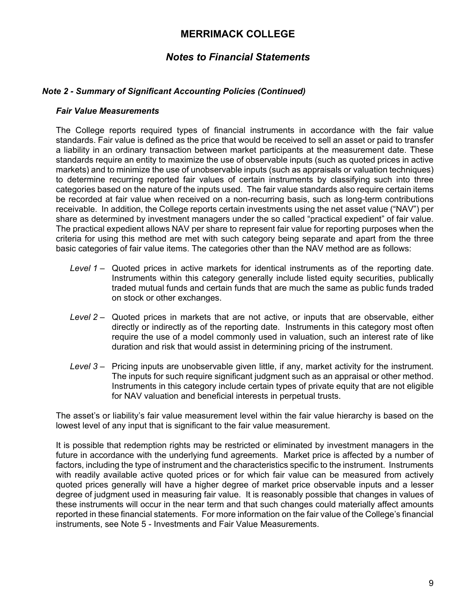# *Notes to Financial Statements*

### *Note 2 - Summary of Significant Accounting Policies (Continued)*

#### *Fair Value Measurements*

The College reports required types of financial instruments in accordance with the fair value standards. Fair value is defined as the price that would be received to sell an asset or paid to transfer a liability in an ordinary transaction between market participants at the measurement date. These standards require an entity to maximize the use of observable inputs (such as quoted prices in active markets) and to minimize the use of unobservable inputs (such as appraisals or valuation techniques) to determine recurring reported fair values of certain instruments by classifying such into three categories based on the nature of the inputs used. The fair value standards also require certain items be recorded at fair value when received on a non-recurring basis, such as long-term contributions receivable. In addition, the College reports certain investments using the net asset value ("NAV") per share as determined by investment managers under the so called "practical expedient" of fair value. The practical expedient allows NAV per share to represent fair value for reporting purposes when the criteria for using this method are met with such category being separate and apart from the three basic categories of fair value items. The categories other than the NAV method are as follows:

- *Level 1* Quoted prices in active markets for identical instruments as of the reporting date. Instruments within this category generally include listed equity securities, publically traded mutual funds and certain funds that are much the same as public funds traded on stock or other exchanges.
- *Level 2* Quoted prices in markets that are not active, or inputs that are observable, either directly or indirectly as of the reporting date. Instruments in this category most often require the use of a model commonly used in valuation, such an interest rate of like duration and risk that would assist in determining pricing of the instrument.
- *Level 3* Pricing inputs are unobservable given little, if any, market activity for the instrument. The inputs for such require significant judgment such as an appraisal or other method. Instruments in this category include certain types of private equity that are not eligible for NAV valuation and beneficial interests in perpetual trusts.

The asset's or liability's fair value measurement level within the fair value hierarchy is based on the lowest level of any input that is significant to the fair value measurement.

It is possible that redemption rights may be restricted or eliminated by investment managers in the future in accordance with the underlying fund agreements. Market price is affected by a number of factors, including the type of instrument and the characteristics specific to the instrument. Instruments with readily available active quoted prices or for which fair value can be measured from actively quoted prices generally will have a higher degree of market price observable inputs and a lesser degree of judgment used in measuring fair value. It is reasonably possible that changes in values of these instruments will occur in the near term and that such changes could materially affect amounts reported in these financial statements. For more information on the fair value of the College's financial instruments, see Note 5 - Investments and Fair Value Measurements.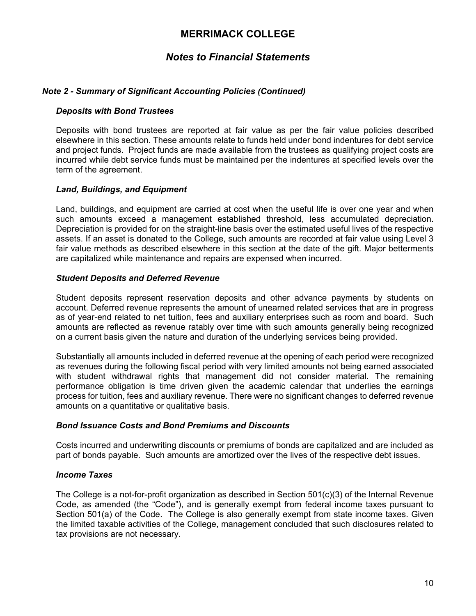# *Notes to Financial Statements*

### *Note 2 - Summary of Significant Accounting Policies (Continued)*

#### *Deposits with Bond Trustees*

Deposits with bond trustees are reported at fair value as per the fair value policies described elsewhere in this section. These amounts relate to funds held under bond indentures for debt service and project funds. Project funds are made available from the trustees as qualifying project costs are incurred while debt service funds must be maintained per the indentures at specified levels over the term of the agreement.

#### *Land, Buildings, and Equipment*

Land, buildings, and equipment are carried at cost when the useful life is over one year and when such amounts exceed a management established threshold, less accumulated depreciation. Depreciation is provided for on the straight-line basis over the estimated useful lives of the respective assets. If an asset is donated to the College, such amounts are recorded at fair value using Level 3 fair value methods as described elsewhere in this section at the date of the gift. Major betterments are capitalized while maintenance and repairs are expensed when incurred.

#### *Student Deposits and Deferred Revenue*

Student deposits represent reservation deposits and other advance payments by students on account. Deferred revenue represents the amount of unearned related services that are in progress as of year-end related to net tuition, fees and auxiliary enterprises such as room and board. Such amounts are reflected as revenue ratably over time with such amounts generally being recognized on a current basis given the nature and duration of the underlying services being provided.

Substantially all amounts included in deferred revenue at the opening of each period were recognized as revenues during the following fiscal period with very limited amounts not being earned associated with student withdrawal rights that management did not consider material. The remaining performance obligation is time driven given the academic calendar that underlies the earnings process for tuition, fees and auxiliary revenue. There were no significant changes to deferred revenue amounts on a quantitative or qualitative basis.

### *Bond Issuance Costs and Bond Premiums and Discounts*

Costs incurred and underwriting discounts or premiums of bonds are capitalized and are included as part of bonds payable. Such amounts are amortized over the lives of the respective debt issues.

#### *Income Taxes*

The College is a not-for-profit organization as described in Section 501(c)(3) of the Internal Revenue Code, as amended (the "Code"), and is generally exempt from federal income taxes pursuant to Section 501(a) of the Code. The College is also generally exempt from state income taxes. Given the limited taxable activities of the College, management concluded that such disclosures related to tax provisions are not necessary.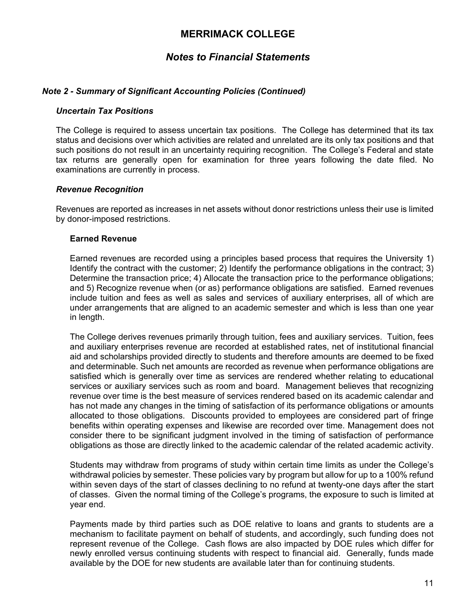# *Notes to Financial Statements*

### *Note 2 - Summary of Significant Accounting Policies (Continued)*

#### *Uncertain Tax Positions*

The College is required to assess uncertain tax positions. The College has determined that its tax status and decisions over which activities are related and unrelated are its only tax positions and that such positions do not result in an uncertainty requiring recognition. The College's Federal and state tax returns are generally open for examination for three years following the date filed. No examinations are currently in process.

#### *Revenue Recognition*

Revenues are reported as increases in net assets without donor restrictions unless their use is limited by donor-imposed restrictions.

#### **Earned Revenue**

Earned revenues are recorded using a principles based process that requires the University 1) Identify the contract with the customer; 2) Identify the performance obligations in the contract; 3) Determine the transaction price; 4) Allocate the transaction price to the performance obligations; and 5) Recognize revenue when (or as) performance obligations are satisfied. Earned revenues include tuition and fees as well as sales and services of auxiliary enterprises, all of which are under arrangements that are aligned to an academic semester and which is less than one year in length.

The College derives revenues primarily through tuition, fees and auxiliary services. Tuition, fees and auxiliary enterprises revenue are recorded at established rates, net of institutional financial aid and scholarships provided directly to students and therefore amounts are deemed to be fixed and determinable. Such net amounts are recorded as revenue when performance obligations are satisfied which is generally over time as services are rendered whether relating to educational services or auxiliary services such as room and board. Management believes that recognizing revenue over time is the best measure of services rendered based on its academic calendar and has not made any changes in the timing of satisfaction of its performance obligations or amounts allocated to those obligations. Discounts provided to employees are considered part of fringe benefits within operating expenses and likewise are recorded over time. Management does not consider there to be significant judgment involved in the timing of satisfaction of performance obligations as those are directly linked to the academic calendar of the related academic activity.

Students may withdraw from programs of study within certain time limits as under the College's withdrawal policies by semester. These policies vary by program but allow for up to a 100% refund within seven days of the start of classes declining to no refund at twenty-one days after the start of classes. Given the normal timing of the College's programs, the exposure to such is limited at year end.

Payments made by third parties such as DOE relative to loans and grants to students are a mechanism to facilitate payment on behalf of students, and accordingly, such funding does not represent revenue of the College. Cash flows are also impacted by DOE rules which differ for newly enrolled versus continuing students with respect to financial aid. Generally, funds made available by the DOE for new students are available later than for continuing students.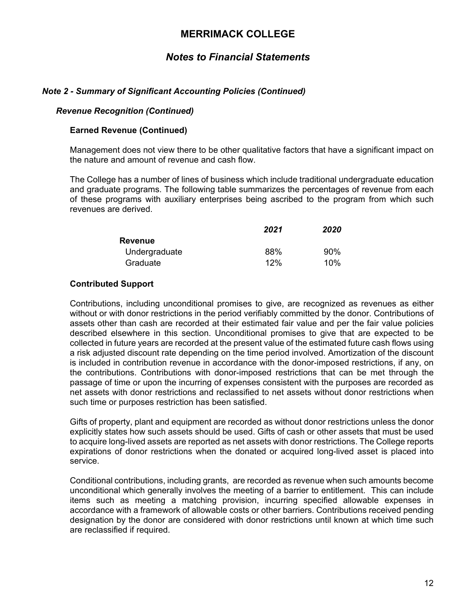# *Notes to Financial Statements*

### *Note 2 - Summary of Significant Accounting Policies (Continued)*

#### *Revenue Recognition (Continued)*

#### **Earned Revenue (Continued)**

Management does not view there to be other qualitative factors that have a significant impact on the nature and amount of revenue and cash flow.

The College has a number of lines of business which include traditional undergraduate education and graduate programs. The following table summarizes the percentages of revenue from each of these programs with auxiliary enterprises being ascribed to the program from which such revenues are derived.

|                | 2021 | 2020 |
|----------------|------|------|
| <b>Revenue</b> |      |      |
| Undergraduate  | 88%  | 90%  |
| Graduate       | 12%  | 10%  |

### **Contributed Support**

Contributions, including unconditional promises to give, are recognized as revenues as either without or with donor restrictions in the period verifiably committed by the donor. Contributions of assets other than cash are recorded at their estimated fair value and per the fair value policies described elsewhere in this section. Unconditional promises to give that are expected to be collected in future years are recorded at the present value of the estimated future cash flows using a risk adjusted discount rate depending on the time period involved. Amortization of the discount is included in contribution revenue in accordance with the donor-imposed restrictions, if any, on the contributions. Contributions with donor-imposed restrictions that can be met through the passage of time or upon the incurring of expenses consistent with the purposes are recorded as net assets with donor restrictions and reclassified to net assets without donor restrictions when such time or purposes restriction has been satisfied.

Gifts of property, plant and equipment are recorded as without donor restrictions unless the donor explicitly states how such assets should be used. Gifts of cash or other assets that must be used to acquire long-lived assets are reported as net assets with donor restrictions. The College reports expirations of donor restrictions when the donated or acquired long-lived asset is placed into service.

Conditional contributions, including grants, are recorded as revenue when such amounts become unconditional which generally involves the meeting of a barrier to entitlement. This can include items such as meeting a matching provision, incurring specified allowable expenses in accordance with a framework of allowable costs or other barriers. Contributions received pending designation by the donor are considered with donor restrictions until known at which time such are reclassified if required.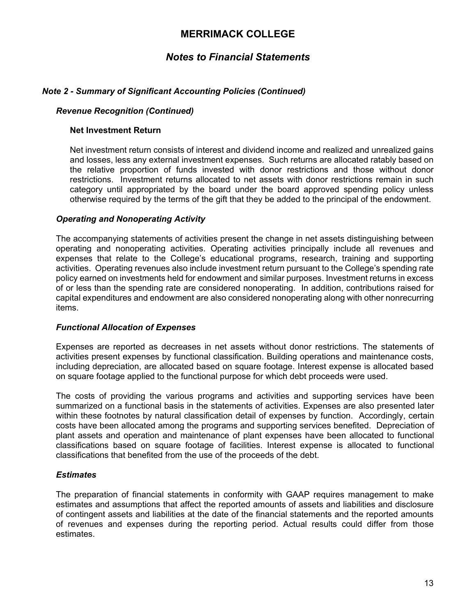# *Notes to Financial Statements*

### *Note 2 - Summary of Significant Accounting Policies (Continued)*

#### *Revenue Recognition (Continued)*

#### **Net Investment Return**

Net investment return consists of interest and dividend income and realized and unrealized gains and losses, less any external investment expenses. Such returns are allocated ratably based on the relative proportion of funds invested with donor restrictions and those without donor restrictions. Investment returns allocated to net assets with donor restrictions remain in such category until appropriated by the board under the board approved spending policy unless otherwise required by the terms of the gift that they be added to the principal of the endowment.

#### *Operating and Nonoperating Activity*

The accompanying statements of activities present the change in net assets distinguishing between operating and nonoperating activities. Operating activities principally include all revenues and expenses that relate to the College's educational programs, research, training and supporting activities. Operating revenues also include investment return pursuant to the College's spending rate policy earned on investments held for endowment and similar purposes. Investment returns in excess of or less than the spending rate are considered nonoperating. In addition, contributions raised for capital expenditures and endowment are also considered nonoperating along with other nonrecurring items.

### *Functional Allocation of Expenses*

Expenses are reported as decreases in net assets without donor restrictions. The statements of activities present expenses by functional classification. Building operations and maintenance costs, including depreciation, are allocated based on square footage. Interest expense is allocated based on square footage applied to the functional purpose for which debt proceeds were used.

The costs of providing the various programs and activities and supporting services have been summarized on a functional basis in the statements of activities. Expenses are also presented later within these footnotes by natural classification detail of expenses by function. Accordingly, certain costs have been allocated among the programs and supporting services benefited. Depreciation of plant assets and operation and maintenance of plant expenses have been allocated to functional classifications based on square footage of facilities. Interest expense is allocated to functional classifications that benefited from the use of the proceeds of the debt.

### *Estimates*

The preparation of financial statements in conformity with GAAP requires management to make estimates and assumptions that affect the reported amounts of assets and liabilities and disclosure of contingent assets and liabilities at the date of the financial statements and the reported amounts of revenues and expenses during the reporting period. Actual results could differ from those estimates.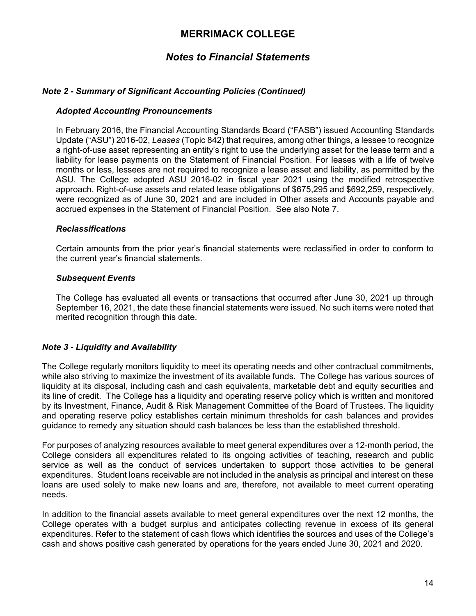# *Notes to Financial Statements*

### *Note 2 - Summary of Significant Accounting Policies (Continued)*

#### *Adopted Accounting Pronouncements*

In February 2016, the Financial Accounting Standards Board ("FASB") issued Accounting Standards Update ("ASU") 2016-02, *Leases* (Topic 842) that requires, among other things, a lessee to recognize a right-of-use asset representing an entity's right to use the underlying asset for the lease term and a liability for lease payments on the Statement of Financial Position. For leases with a life of twelve months or less, lessees are not required to recognize a lease asset and liability, as permitted by the ASU. The College adopted ASU 2016-02 in fiscal year 2021 using the modified retrospective approach. Right-of-use assets and related lease obligations of \$675,295 and \$692,259, respectively, were recognized as of June 30, 2021 and are included in Other assets and Accounts payable and accrued expenses in the Statement of Financial Position. See also Note 7.

#### *Reclassifications*

Certain amounts from the prior year's financial statements were reclassified in order to conform to the current year's financial statements.

#### *Subsequent Events*

The College has evaluated all events or transactions that occurred after June 30, 2021 up through September 16, 2021, the date these financial statements were issued. No such items were noted that merited recognition through this date.

### *Note 3 - Liquidity and Availability*

The College regularly monitors liquidity to meet its operating needs and other contractual commitments, while also striving to maximize the investment of its available funds. The College has various sources of liquidity at its disposal, including cash and cash equivalents, marketable debt and equity securities and its line of credit. The College has a liquidity and operating reserve policy which is written and monitored by its Investment, Finance, Audit & Risk Management Committee of the Board of Trustees. The liquidity and operating reserve policy establishes certain minimum thresholds for cash balances and provides guidance to remedy any situation should cash balances be less than the established threshold.

For purposes of analyzing resources available to meet general expenditures over a 12-month period, the College considers all expenditures related to its ongoing activities of teaching, research and public service as well as the conduct of services undertaken to support those activities to be general expenditures. Student loans receivable are not included in the analysis as principal and interest on these loans are used solely to make new loans and are, therefore, not available to meet current operating needs.

In addition to the financial assets available to meet general expenditures over the next 12 months, the College operates with a budget surplus and anticipates collecting revenue in excess of its general expenditures. Refer to the statement of cash flows which identifies the sources and uses of the College's cash and shows positive cash generated by operations for the years ended June 30, 2021 and 2020.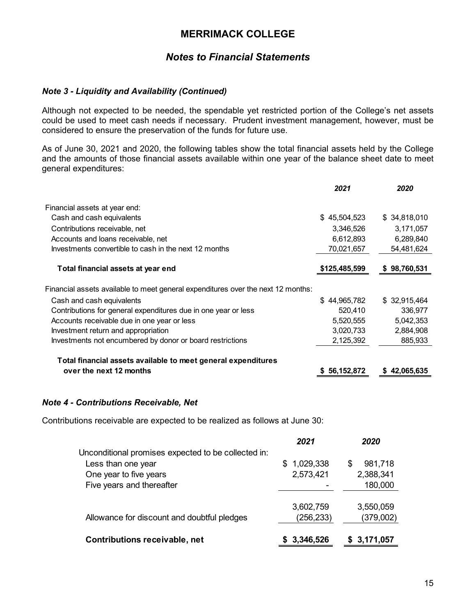# *Notes to Financial Statements*

### *Note 3 - Liquidity and Availability (Continued)*

Although not expected to be needed, the spendable yet restricted portion of the College's net assets could be used to meet cash needs if necessary. Prudent investment management, however, must be considered to ensure the preservation of the funds for future use.

As of June 30, 2021 and 2020, the following tables show the total financial assets held by the College and the amounts of those financial assets available within one year of the balance sheet date to meet general expenditures:

|                                                                                  | 2021          | 2020         |
|----------------------------------------------------------------------------------|---------------|--------------|
| Financial assets at year end:                                                    |               |              |
| Cash and cash equivalents                                                        | \$45,504,523  | \$34,818,010 |
| Contributions receivable, net                                                    | 3,346,526     | 3,171,057    |
| Accounts and loans receivable, net                                               | 6,612,893     | 6,289,840    |
| Investments convertible to cash in the next 12 months                            | 70,021,657    | 54,481,624   |
| Total financial assets at year end                                               | \$125,485,599 | \$98,760,531 |
| Financial assets available to meet general expenditures over the next 12 months: |               |              |
| Cash and cash equivalents                                                        | \$44,965,782  | \$32,915,464 |
| Contributions for general expenditures due in one year or less                   | 520,410       | 336,977      |
| Accounts receivable due in one year or less                                      | 5,520,555     | 5,042,353    |
| Investment return and appropriation                                              | 3,020,733     | 2,884,908    |
| Investments not encumbered by donor or board restrictions                        | 2,125,392     | 885,933      |
| Total financial assets available to meet general expenditures                    |               |              |
| over the next 12 months                                                          | \$56,152,872  | \$42,065,635 |

### *Note 4 - Contributions Receivable, Net*

Contributions receivable are expected to be realized as follows at June 30:

|                                                     | 2021             | 2020         |
|-----------------------------------------------------|------------------|--------------|
| Unconditional promises expected to be collected in: |                  |              |
| Less than one year                                  | 1,029,338<br>\$. | 981,718<br>S |
| One year to five years                              | 2,573,421        | 2,388,341    |
| Five years and thereafter                           |                  | 180,000      |
|                                                     |                  |              |
|                                                     | 3,602,759        | 3,550,059    |
| Allowance for discount and doubtful pledges         | (256,233)        | (379,002)    |
|                                                     |                  |              |
| Contributions receivable, net                       | 3,346,526        | 3,171,057    |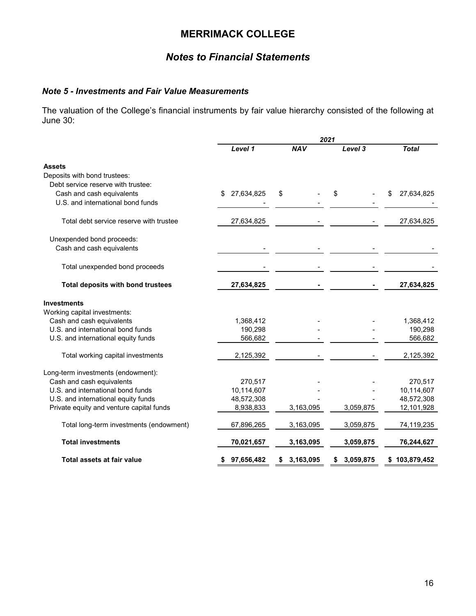# *Notes to Financial Statements*

### *Note 5 - Investments and Fair Value Measurements*

The valuation of the College's financial instruments by fair value hierarchy consisted of the following at June 30:

|                                          |                   |                 | 2021            |               |
|------------------------------------------|-------------------|-----------------|-----------------|---------------|
|                                          | Level 1           | <b>NAV</b>      | Level 3         | <b>Total</b>  |
| <b>Assets</b>                            |                   |                 |                 |               |
| Deposits with bond trustees:             |                   |                 |                 |               |
| Debt service reserve with trustee:       |                   |                 |                 |               |
| Cash and cash equivalents                | 27,634,825<br>\$. | \$              | \$              | 27,634,825    |
| U.S. and international bond funds        |                   |                 |                 |               |
| Total debt service reserve with trustee  | 27,634,825        |                 |                 | 27,634,825    |
| Unexpended bond proceeds:                |                   |                 |                 |               |
| Cash and cash equivalents                |                   |                 |                 |               |
| Total unexpended bond proceeds           |                   |                 |                 |               |
| Total deposits with bond trustees        | 27,634,825        |                 |                 | 27,634,825    |
| <b>Investments</b>                       |                   |                 |                 |               |
| Working capital investments:             |                   |                 |                 |               |
| Cash and cash equivalents                | 1,368,412         |                 |                 | 1,368,412     |
| U.S. and international bond funds        | 190,298           |                 |                 | 190,298       |
| U.S. and international equity funds      | 566,682           |                 |                 | 566,682       |
| Total working capital investments        | 2,125,392         |                 |                 | 2,125,392     |
| Long-term investments (endowment):       |                   |                 |                 |               |
| Cash and cash equivalents                | 270,517           |                 |                 | 270,517       |
| U.S. and international bond funds        | 10,114,607        |                 |                 | 10,114,607    |
| U.S. and international equity funds      | 48,572,308        |                 |                 | 48,572,308    |
| Private equity and venture capital funds | 8,938,833         | 3,163,095       | 3,059,875       | 12,101,928    |
| Total long-term investments (endowment)  | 67,896,265        | 3,163,095       | 3,059,875       | 74,119,235    |
| <b>Total investments</b>                 | 70,021,657        | 3,163,095       | 3,059,875       | 76,244,627    |
| Total assets at fair value               | 97,656,482        | 3,163,095<br>\$ | 3,059,875<br>\$ | \$103,879,452 |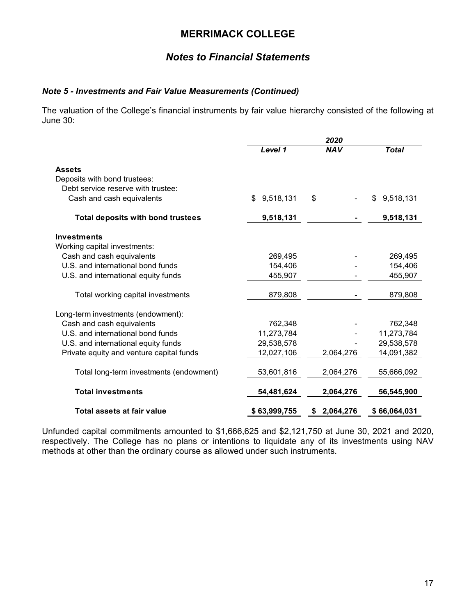# *Notes to Financial Statements*

### *Note 5 - Investments and Fair Value Measurements (Continued)*

The valuation of the College's financial instruments by fair value hierarchy consisted of the following at June 30:

|                                          | 2020         |                 |                 |
|------------------------------------------|--------------|-----------------|-----------------|
|                                          | Level 1      | <b>NAV</b>      | <b>Total</b>    |
| <b>Assets</b>                            |              |                 |                 |
| Deposits with bond trustees:             |              |                 |                 |
| Debt service reserve with trustee:       |              |                 |                 |
| Cash and cash equivalents                | \$9,518,131  | \$              | 9,518,131<br>\$ |
| <b>Total deposits with bond trustees</b> | 9,518,131    |                 | 9,518,131       |
| <b>Investments</b>                       |              |                 |                 |
| Working capital investments:             |              |                 |                 |
| Cash and cash equivalents                | 269,495      |                 | 269,495         |
| U.S. and international bond funds        | 154,406      |                 | 154,406         |
| U.S. and international equity funds      | 455,907      |                 | 455,907         |
| Total working capital investments        | 879,808      |                 | 879,808         |
| Long-term investments (endowment):       |              |                 |                 |
| Cash and cash equivalents                | 762,348      |                 | 762,348         |
| U.S. and international bond funds        | 11,273,784   |                 | 11,273,784      |
| U.S. and international equity funds      | 29,538,578   |                 | 29,538,578      |
| Private equity and venture capital funds | 12,027,106   | 2,064,276       | 14,091,382      |
| Total long-term investments (endowment)  | 53,601,816   | 2,064,276       | 55,666,092      |
| <b>Total investments</b>                 | 54,481,624   | 2,064,276       | 56,545,900      |
| Total assets at fair value               | \$63,999,755 | 2,064,276<br>S. | \$66,064,031    |

Unfunded capital commitments amounted to \$1,666,625 and \$2,121,750 at June 30, 2021 and 2020, respectively. The College has no plans or intentions to liquidate any of its investments using NAV methods at other than the ordinary course as allowed under such instruments.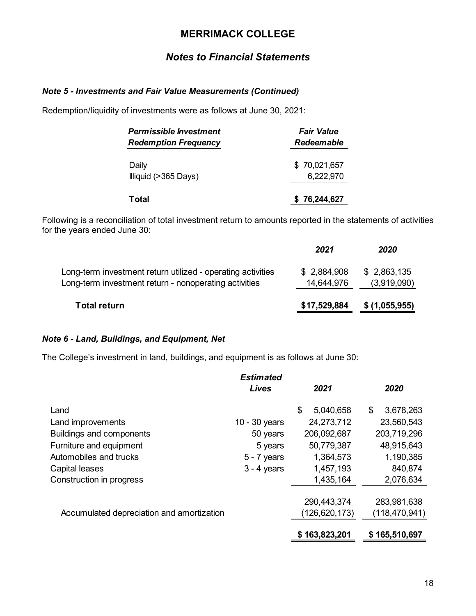# *Notes to Financial Statements*

### *Note 5 - Investments and Fair Value Measurements (Continued)*

Redemption/liquidity of investments were as follows at June 30, 2021:

| <b>Permissible Investment</b> | <b>Fair Value</b> |
|-------------------------------|-------------------|
| <b>Redemption Frequency</b>   | <b>Redeemable</b> |
| Daily                         | \$70,021,657      |
| Illiquid (>365 Days)          | 6,222,970         |
| Total                         | \$76,244,627      |

Following is a reconciliation of total investment return to amounts reported in the statements of activities for the years ended June 30:

|                                                                                                                      | 2021                      | 2020                       |
|----------------------------------------------------------------------------------------------------------------------|---------------------------|----------------------------|
| Long-term investment return utilized - operating activities<br>Long-term investment return - nonoperating activities | \$2,884,908<br>14,644,976 | \$2,863,135<br>(3,919,090) |
| <b>Total return</b>                                                                                                  | \$17,529,884              | \$(1,055,955)              |

### *Note 6 - Land, Buildings, and Equipment, Net*

The College's investment in land, buildings, and equipment is as follows at June 30:

|                                           | <b>Estimated</b><br><b>Lives</b> | 2021            | 2020            |
|-------------------------------------------|----------------------------------|-----------------|-----------------|
| Land                                      |                                  | \$<br>5,040,658 | 3,678,263<br>\$ |
| Land improvements                         | 10 - 30 years                    | 24,273,712      | 23,560,543      |
| <b>Buildings and components</b>           | 50 years                         | 206,092,687     | 203,719,296     |
| Furniture and equipment                   | 5 years                          | 50,779,387      | 48,915,643      |
| Automobiles and trucks                    | $5 - 7$ years                    | 1,364,573       | 1,190,385       |
| Capital leases                            | $3 - 4$ years                    | 1,457,193       | 840,874         |
| Construction in progress                  |                                  | 1,435,164       | 2,076,634       |
|                                           |                                  |                 |                 |
|                                           |                                  | 290,443,374     | 283,981,638     |
| Accumulated depreciation and amortization |                                  | (126,620,173)   | (118, 470, 941) |
|                                           |                                  | \$163,823,201   | \$165,510,697   |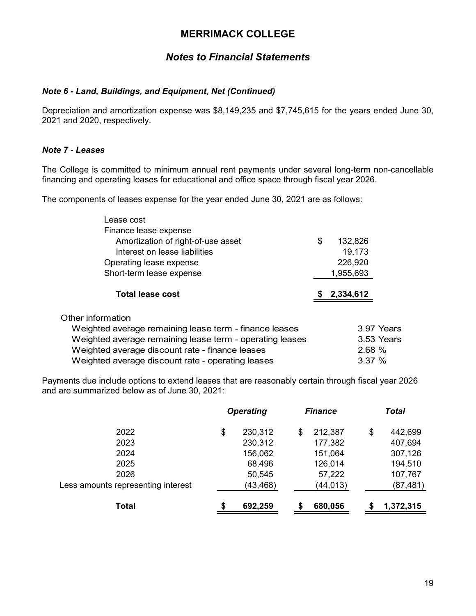# *Notes to Financial Statements*

### *Note 6 - Land, Buildings, and Equipment, Net (Continued)*

Depreciation and amortization expense was \$8,149,235 and \$7,745,615 for the years ended June 30, 2021 and 2020, respectively.

### *Note 7 - Leases*

The College is committed to minimum annual rent payments under several long-term non-cancellable financing and operating leases for educational and office space through fiscal year 2026.

The components of leases expense for the year ended June 30, 2021 are as follows:

| Lease cost                                               |               |  |
|----------------------------------------------------------|---------------|--|
| Finance lease expense                                    |               |  |
| Amortization of right-of-use asset                       | \$<br>132,826 |  |
| Interest on lease liabilities                            | 19,173        |  |
| Operating lease expense                                  | 226,920       |  |
| Short-term lease expense                                 | 1,955,693     |  |
| <b>Total lease cost</b>                                  | 2,334,612     |  |
| Other information                                        |               |  |
| Weighted average remaining lease term - finance leases   | 3.97 Years    |  |
| Weighted average remaining lease term - operating leases | 3.53 Years    |  |
| Weighted average discount rate - finance leases          | 2.68 %        |  |
| Weighted average discount rate - operating leases        | 3.37%         |  |

Payments due include options to extend leases that are reasonably certain through fiscal year 2026 and are summarized below as of June 30, 2021:

|                                    |    | <b>Operating</b> |    | <b>Finance</b> | <b>Total</b> |           |
|------------------------------------|----|------------------|----|----------------|--------------|-----------|
| 2022                               | \$ | 230,312          | \$ | 212,387        | \$           | 442,699   |
| 2023                               |    | 230,312          |    | 177,382        |              | 407,694   |
| 2024                               |    | 156,062          |    | 151,064        |              | 307,126   |
| 2025                               |    | 68,496           |    | 126,014        |              | 194,510   |
| 2026                               |    | 50,545           |    | 57,222         |              | 107,767   |
| Less amounts representing interest |    | (43, 468)        |    | (44,013)       |              | (87,481)  |
| Total                              | S  | 692,259          | S  | 680,056        | S            | 1,372,315 |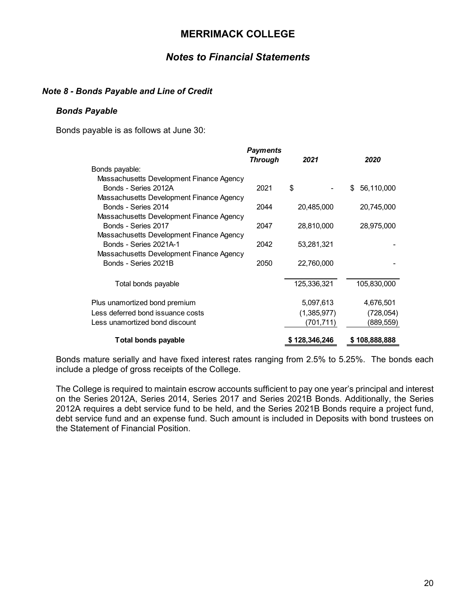### *Notes to Financial Statements*

### *Note 8 - Bonds Payable and Line of Credit*

#### *Bonds Payable*

Bonds payable is as follows at June 30:

|                                          | <b>Payments</b><br><b>Through</b> | 2021          | 2020             |
|------------------------------------------|-----------------------------------|---------------|------------------|
| Bonds payable:                           |                                   |               |                  |
| Massachusetts Development Finance Agency |                                   |               |                  |
| Bonds - Series 2012A                     | 2021                              | \$            | 56,110,000<br>\$ |
| Massachusetts Development Finance Agency |                                   |               |                  |
| Bonds - Series 2014                      | 2044                              | 20,485,000    | 20,745,000       |
| Massachusetts Development Finance Agency |                                   |               |                  |
| Bonds - Series 2017                      | 2047                              | 28,810,000    | 28,975,000       |
| Massachusetts Development Finance Agency |                                   |               |                  |
| Bonds - Series 2021A-1                   | 2042                              | 53,281,321    |                  |
| Massachusetts Development Finance Agency |                                   |               |                  |
| Bonds - Series 2021B                     | 2050                              | 22,760,000    |                  |
| Total bonds payable                      |                                   | 125,336,321   | 105,830,000      |
| Plus unamortized bond premium            |                                   | 5,097,613     | 4,676,501        |
| Less deferred bond issuance costs        |                                   | (1,385,977)   | (728,054)        |
| Less unamortized bond discount           |                                   | (701,711)     | (889,559)        |
| <b>Total bonds payable</b>               |                                   | \$128,346,246 | \$108,888,888    |

Bonds mature serially and have fixed interest rates ranging from 2.5% to 5.25%. The bonds each include a pledge of gross receipts of the College.

The College is required to maintain escrow accounts sufficient to pay one year's principal and interest on the Series 2012A, Series 2014, Series 2017 and Series 2021B Bonds. Additionally, the Series 2012A requires a debt service fund to be held, and the Series 2021B Bonds require a project fund, debt service fund and an expense fund. Such amount is included in Deposits with bond trustees on the Statement of Financial Position.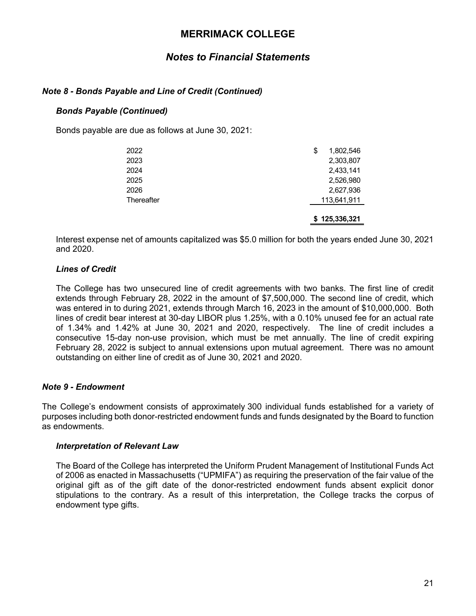# *Notes to Financial Statements*

### *Note 8 - Bonds Payable and Line of Credit (Continued)*

### *Bonds Payable (Continued)*

Bonds payable are due as follows at June 30, 2021:

|            | \$125,336,321   |
|------------|-----------------|
| Thereafter | 113,641,911     |
| 2026       | 2,627,936       |
| 2025       | 2,526,980       |
| 2024       | 2,433,141       |
| 2023       | 2,303,807       |
| 2022       | \$<br>1,802,546 |

Interest expense net of amounts capitalized was \$5.0 million for both the years ended June 30, 2021 and 2020.

### *Lines of Credit*

The College has two unsecured line of credit agreements with two banks. The first line of credit extends through February 28, 2022 in the amount of \$7,500,000. The second line of credit, which was entered in to during 2021, extends through March 16, 2023 in the amount of \$10,000,000. Both lines of credit bear interest at 30-day LIBOR plus 1.25%, with a 0.10% unused fee for an actual rate of 1.34% and 1.42% at June 30, 2021 and 2020, respectively. The line of credit includes a consecutive 15-day non-use provision, which must be met annually. The line of credit expiring February 28, 2022 is subject to annual extensions upon mutual agreement. There was no amount outstanding on either line of credit as of June 30, 2021 and 2020.

### *Note 9 - Endowment*

The College's endowment consists of approximately 300 individual funds established for a variety of purposes including both donor-restricted endowment funds and funds designated by the Board to function as endowments.

#### *Interpretation of Relevant Law*

The Board of the College has interpreted the Uniform Prudent Management of Institutional Funds Act of 2006 as enacted in Massachusetts ("UPMIFA") as requiring the preservation of the fair value of the original gift as of the gift date of the donor-restricted endowment funds absent explicit donor stipulations to the contrary. As a result of this interpretation, the College tracks the corpus of endowment type gifts.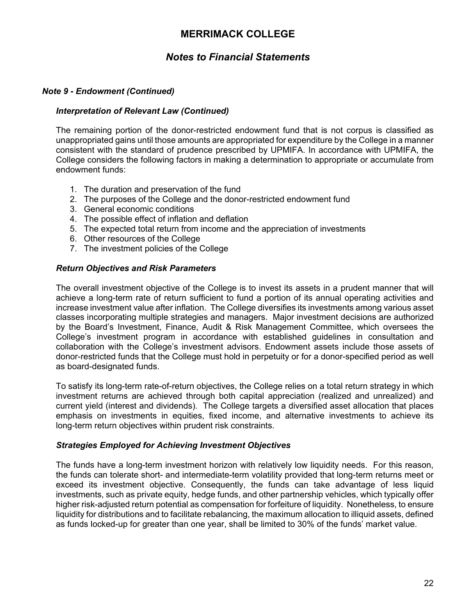# *Notes to Financial Statements*

### *Note 9 - Endowment (Continued)*

#### *Interpretation of Relevant Law (Continued)*

The remaining portion of the donor-restricted endowment fund that is not corpus is classified as unappropriated gains until those amounts are appropriated for expenditure by the College in a manner consistent with the standard of prudence prescribed by UPMIFA. In accordance with UPMIFA, the College considers the following factors in making a determination to appropriate or accumulate from endowment funds:

- 1. The duration and preservation of the fund
- 2. The purposes of the College and the donor-restricted endowment fund
- 3. General economic conditions
- 4. The possible effect of inflation and deflation
- 5. The expected total return from income and the appreciation of investments
- 6. Other resources of the College
- 7. The investment policies of the College

#### *Return Objectives and Risk Parameters*

The overall investment objective of the College is to invest its assets in a prudent manner that will achieve a long-term rate of return sufficient to fund a portion of its annual operating activities and increase investment value after inflation. The College diversifies its investments among various asset classes incorporating multiple strategies and managers. Major investment decisions are authorized by the Board's Investment, Finance, Audit & Risk Management Committee, which oversees the College's investment program in accordance with established guidelines in consultation and collaboration with the College's investment advisors. Endowment assets include those assets of donor-restricted funds that the College must hold in perpetuity or for a donor-specified period as well as board-designated funds.

To satisfy its long-term rate-of-return objectives, the College relies on a total return strategy in which investment returns are achieved through both capital appreciation (realized and unrealized) and current yield (interest and dividends). The College targets a diversified asset allocation that places emphasis on investments in equities, fixed income, and alternative investments to achieve its long-term return objectives within prudent risk constraints.

#### *Strategies Employed for Achieving Investment Objectives*

The funds have a long-term investment horizon with relatively low liquidity needs. For this reason, the funds can tolerate short- and intermediate-term volatility provided that long-term returns meet or exceed its investment objective. Consequently, the funds can take advantage of less liquid investments, such as private equity, hedge funds, and other partnership vehicles, which typically offer higher risk-adjusted return potential as compensation for forfeiture of liquidity. Nonetheless, to ensure liquidity for distributions and to facilitate rebalancing, the maximum allocation to illiquid assets, defined as funds locked-up for greater than one year, shall be limited to 30% of the funds' market value.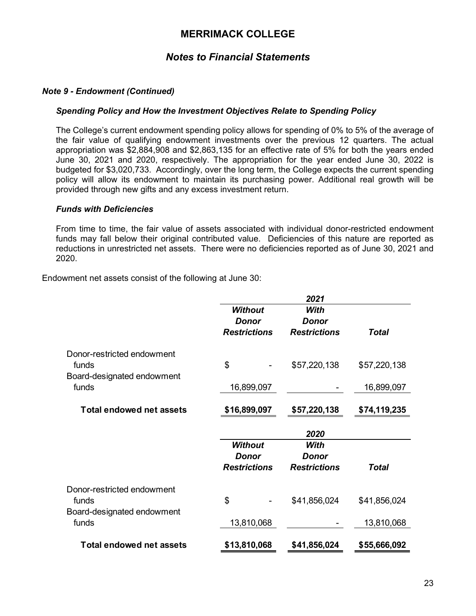# *Notes to Financial Statements*

### *Note 9 - Endowment (Continued)*

#### *Spending Policy and How the Investment Objectives Relate to Spending Policy*

The College's current endowment spending policy allows for spending of 0% to 5% of the average of the fair value of qualifying endowment investments over the previous 12 quarters. The actual appropriation was \$2,884,908 and \$2,863,135 for an effective rate of 5% for both the years ended June 30, 2021 and 2020, respectively. The appropriation for the year ended June 30, 2022 is budgeted for \$3,020,733. Accordingly, over the long term, the College expects the current spending policy will allow its endowment to maintain its purchasing power. Additional real growth will be provided through new gifts and any excess investment return.

#### *Funds with Deficiencies*

From time to time, the fair value of assets associated with individual donor-restricted endowment funds may fall below their original contributed value. Deficiencies of this nature are reported as reductions in unrestricted net assets. There were no deficiencies reported as of June 30, 2021 and 2020.

Endowment net assets consist of the following at June 30:

|                                     |                                                       | 2021                                 |              |
|-------------------------------------|-------------------------------------------------------|--------------------------------------|--------------|
|                                     | <b>Without</b><br><b>Donor</b><br><b>Restrictions</b> | With<br>Donor<br><b>Restrictions</b> | <b>Total</b> |
| Donor-restricted endowment<br>funds | \$                                                    | \$57,220,138                         | \$57,220,138 |
| Board-designated endowment<br>funds | 16,899,097                                            |                                      | 16,899,097   |
| <b>Total endowed net assets</b>     | \$16,899,097                                          | \$57,220,138                         | \$74,119,235 |
|                                     |                                                       | 2020                                 |              |
|                                     |                                                       |                                      |              |
|                                     | <b>Without</b><br><b>Donor</b><br><b>Restrictions</b> | With<br>Donor<br><b>Restrictions</b> | <b>Total</b> |
| Donor-restricted endowment<br>funds | \$                                                    | \$41,856,024                         | \$41,856,024 |
| Board-designated endowment<br>funds | 13,810,068                                            |                                      | 13,810,068   |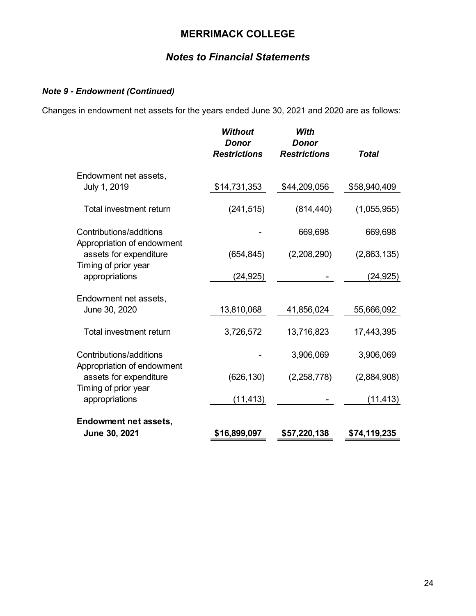# *Notes to Financial Statements*

### *Note 9 - Endowment (Continued)*

Changes in endowment net assets for the years ended June 30, 2021 and 2020 are as follows:

|                                                       | <b>Without</b><br><b>Donor</b><br><b>Restrictions</b> | With<br><b>Donor</b><br><b>Restrictions</b> | <b>Total</b> |
|-------------------------------------------------------|-------------------------------------------------------|---------------------------------------------|--------------|
| Endowment net assets,                                 |                                                       |                                             |              |
| July 1, 2019                                          | \$14,731,353                                          | \$44,209,056                                | \$58,940,409 |
| Total investment return                               | (241, 515)                                            | (814, 440)                                  | (1,055,955)  |
| Contributions/additions<br>Appropriation of endowment |                                                       | 669,698                                     | 669,698      |
| assets for expenditure                                | (654, 845)                                            | (2,208,290)                                 | (2,863,135)  |
| Timing of prior year<br>appropriations                | (24, 925)                                             |                                             | (24, 925)    |
| Endowment net assets,                                 |                                                       |                                             |              |
| June 30, 2020                                         | 13,810,068                                            | 41,856,024                                  | 55,666,092   |
| <b>Total investment return</b>                        | 3,726,572                                             | 13,716,823                                  | 17,443,395   |
| Contributions/additions<br>Appropriation of endowment |                                                       | 3,906,069                                   | 3,906,069    |
| assets for expenditure<br>Timing of prior year        | (626, 130)                                            | (2,258,778)                                 | (2,884,908)  |
| appropriations                                        | (11, 413)                                             |                                             | (11, 413)    |
| <b>Endowment net assets,</b>                          |                                                       |                                             |              |
| June 30, 2021                                         | \$16,899,097                                          | \$57,220,138                                | \$74,119,235 |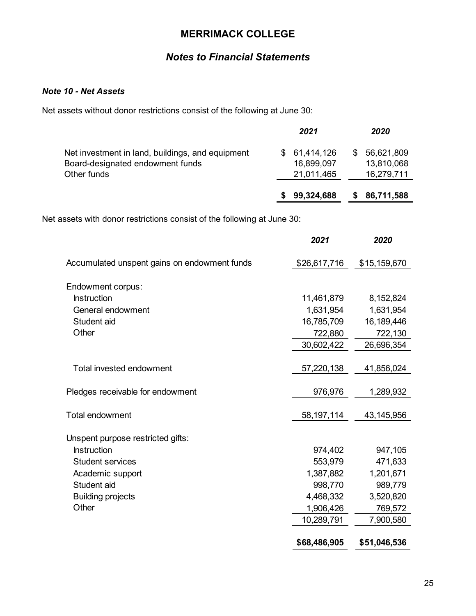# *Notes to Financial Statements*

### *Note 10 - Net Assets*

Net assets without donor restrictions consist of the following at June 30:

|                                                                                                     | 2021                                     |    | 2020                                   |
|-----------------------------------------------------------------------------------------------------|------------------------------------------|----|----------------------------------------|
| Net investment in land, buildings, and equipment<br>Board-designated endowment funds<br>Other funds | \$61,414,126<br>16,899,097<br>21,011,465 | S. | 56,621,809<br>13,810,068<br>16,279,711 |
|                                                                                                     | 99,324,688                               |    | 86,711,588                             |

Net assets with donor restrictions consist of the following at June 30:

|                                              | 2021         | 2020         |
|----------------------------------------------|--------------|--------------|
| Accumulated unspent gains on endowment funds | \$26,617,716 | \$15,159,670 |
| Endowment corpus:                            |              |              |
| <b>Instruction</b>                           | 11,461,879   | 8,152,824    |
| General endowment                            | 1,631,954    | 1,631,954    |
| Student aid                                  | 16,785,709   | 16,189,446   |
| Other                                        | 722,880      | 722,130      |
|                                              | 30,602,422   | 26,696,354   |
|                                              |              |              |
| Total invested endowment                     | 57,220,138   | 41,856,024   |
|                                              |              |              |
| Pledges receivable for endowment             | 976,976      | 1,289,932    |
| <b>Total endowment</b>                       | 58, 197, 114 | 43,145,956   |
|                                              |              |              |
| Unspent purpose restricted gifts:            |              |              |
| <b>Instruction</b>                           | 974,402      | 947,105      |
| <b>Student services</b>                      | 553,979      | 471,633      |
| Academic support                             | 1,387,882    | 1,201,671    |
| Student aid                                  | 998,770      | 989,779      |
| <b>Building projects</b>                     | 4,468,332    | 3,520,820    |
| Other                                        | 1,906,426    | 769,572      |
|                                              | 10,289,791   | 7,900,580    |
|                                              |              |              |
|                                              | \$68,486,905 | \$51,046,536 |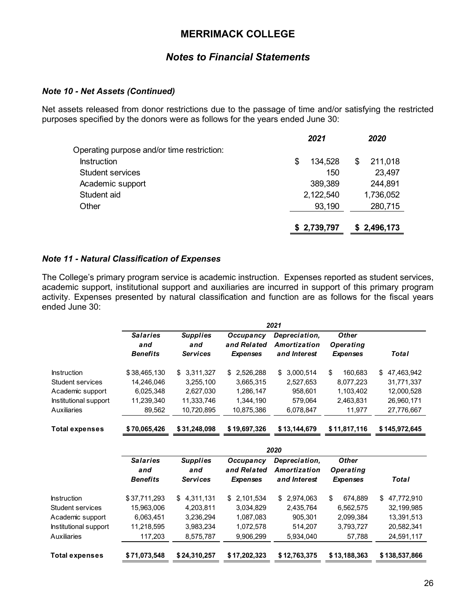### *Notes to Financial Statements*

### *Note 10 - Net Assets (Continued)*

Net assets released from donor restrictions due to the passage of time and/or satisfying the restricted purposes specified by the donors were as follows for the years ended June 30:

|                                            | 2021          | 2020         |
|--------------------------------------------|---------------|--------------|
| Operating purpose and/or time restriction: |               |              |
| <b>Instruction</b>                         | 134,528<br>\$ | 211,018<br>S |
| <b>Student services</b>                    | 150           | 23,497       |
| Academic support                           | 389,389       | 244,891      |
| Student aid                                | 2,122,540     | 1,736,052    |
| Other                                      | 93,190        | 280,715      |
|                                            |               |              |
|                                            | \$2,739,797   | \$2,496,173  |

#### *Note 11 - Natural Classification of Expenses*

The College's primary program service is academic instruction. Expenses reported as student services, academic support, institutional support and auxiliaries are incurred in support of this primary program activity. Expenses presented by natural classification and function are as follows for the fiscal years ended June 30:

|                         | 2021            |                 |                 |                 |                  |                  |
|-------------------------|-----------------|-----------------|-----------------|-----------------|------------------|------------------|
|                         | <b>Salaries</b> | <b>Supplies</b> | Occupancy       | Depreciation,   | <b>Other</b>     |                  |
|                         | and             | and             | and Related     | Amortization    | <b>Operating</b> |                  |
|                         | <b>Benefits</b> | <b>Services</b> | <b>Expenses</b> | and Interest    | <b>Expenses</b>  | Total            |
| <b>Instruction</b>      | \$38,465,130    | 3,311,327<br>\$ | \$<br>2,526,288 | 3,000,514<br>\$ | \$<br>160.683    | 47,463,942<br>\$ |
| <b>Student services</b> | 14,246,046      | 3,255,100       | 3,665,315       | 2,527,653       | 8,077,223        | 31,771,337       |
| Academic support        | 6,025,348       | 2,627,030       | 1,286,147       | 958,601         | 1,103,402        | 12,000,528       |
| Institutional support   | 11,239,340      | 11,333,746      | 1,344,190       | 579,064         | 2,463,831        | 26,960,171       |
| <b>Auxiliaries</b>      | 89,562          | 10,720,895      | 10,875,386      | 6,078,847       | 11,977           | 27,776,667       |
| <b>Total expenses</b>   | \$70,065,426    | \$31,248,098    | \$19,697,326    | \$13,144,679    | \$11,817,116     | \$145,972,645    |
|                         |                 |                 |                 | 2020            |                  |                  |
|                         | <b>Salaries</b> | <b>Supplies</b> | Occupancy       | Depreciation,   | <b>Other</b>     |                  |
|                         | and             | and             | and Related     | Amortization    | <b>Operating</b> |                  |
|                         | <b>Benefits</b> | <b>Services</b> | <b>Expenses</b> | and Interest    | <b>Expenses</b>  | <b>Total</b>     |
| <b>Instruction</b>      | \$37,711,293    | 4,311,131<br>\$ | 2,101,534<br>\$ | 2,974,063<br>\$ | \$<br>674,889    | 47,772,910<br>\$ |
| Student services        | 15.963.006      | 4,203,811       | 3,034,829       | 2,435,764       | 6,562,575        | 32.199.985       |
| Academic support        | 6,063,451       | 3,236,294       | 1,087,083       | 905,301         | 2,099,384        | 13,391,513       |
| Institutional support   | 11,218,595      | 3,983,234       | 1,072,578       | 514,207         | 3,793,727        | 20,582,341       |
| <b>Auxiliaries</b>      | 117,203         | 8,575,787       | 9,906,299       | 5,934,040       | 57,788           | 24,591,117       |
| <b>Total expenses</b>   | \$71,073,548    | \$24,310,257    | \$17,202,323    | \$12,763,375    | \$13,188,363     | \$138,537,866    |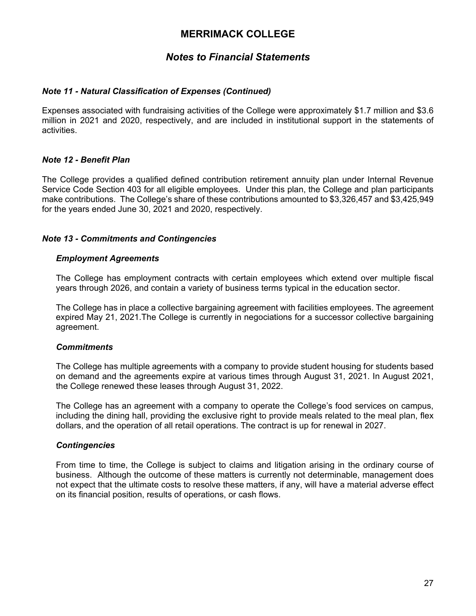# *Notes to Financial Statements*

### *Note 11 - Natural Classification of Expenses (Continued)*

Expenses associated with fundraising activities of the College were approximately \$1.7 million and \$3.6 million in 2021 and 2020, respectively, and are included in institutional support in the statements of activities.

### *Note 12 - Benefit Plan*

The College provides a qualified defined contribution retirement annuity plan under Internal Revenue Service Code Section 403 for all eligible employees. Under this plan, the College and plan participants make contributions. The College's share of these contributions amounted to \$3,326,457 and \$3,425,949 for the years ended June 30, 2021 and 2020, respectively.

### *Note 13 - Commitments and Contingencies*

### *Employment Agreements*

The College has employment contracts with certain employees which extend over multiple fiscal years through 2026, and contain a variety of business terms typical in the education sector.

The College has in place a collective bargaining agreement with facilities employees. The agreement expired May 21, 2021.The College is currently in negociations for a successor collective bargaining agreement.

### *Commitments*

The College has multiple agreements with a company to provide student housing for students based on demand and the agreements expire at various times through August 31, 2021. In August 2021, the College renewed these leases through August 31, 2022.

The College has an agreement with a company to operate the College's food services on campus, including the dining hall, providing the exclusive right to provide meals related to the meal plan, flex dollars, and the operation of all retail operations. The contract is up for renewal in 2027.

### *Contingencies*

From time to time, the College is subject to claims and litigation arising in the ordinary course of business. Although the outcome of these matters is currently not determinable, management does not expect that the ultimate costs to resolve these matters, if any, will have a material adverse effect on its financial position, results of operations, or cash flows.